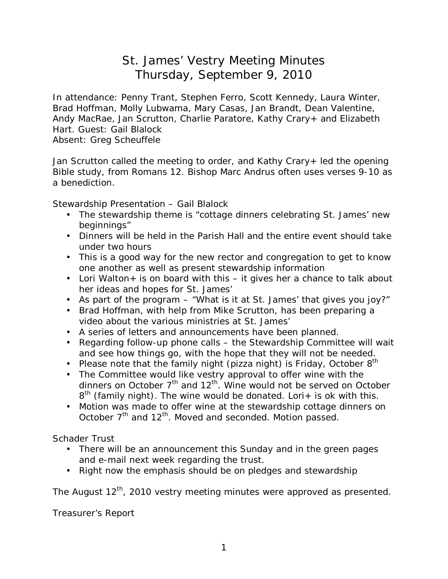## St. James' Vestry Meeting Minutes Thursday, September 9, 2010

In attendance: Penny Trant, Stephen Ferro, Scott Kennedy, Laura Winter, Brad Hoffman, Molly Lubwama, Mary Casas, Jan Brandt, Dean Valentine, Andy MacRae, Jan Scrutton, Charlie Paratore, Kathy Crary+ and Elizabeth Hart. Guest: Gail Blalock

Absent: Greg Scheuffele

Jan Scrutton called the meeting to order, and Kathy Crary+ led the opening Bible study, from Romans 12. Bishop Marc Andrus often uses verses 9-10 as a benediction.

Stewardship Presentation – Gail Blalock

- The stewardship theme is "cottage dinners celebrating St. James' new beginnings"
- Dinners will be held in the Parish Hall and the entire event should take under two hours
- This is a good way for the new rector and congregation to get to know one another as well as present stewardship information
- Lori Walton + is on board with this  $-$  it gives her a chance to talk about her ideas and hopes for St. James'
- As part of the program "What is it at St. James' that gives you joy?"
- Brad Hoffman, with help from Mike Scrutton, has been preparing a video about the various ministries at St. James'
- A series of letters and announcements have been planned.
- Regarding follow-up phone calls the Stewardship Committee will wait and see how things go, with the hope that they will not be needed.
- Please note that the family night (pizza night) is Friday, October  $8<sup>th</sup>$
- The Committee would like vestry approval to offer wine with the dinners on October  $7<sup>th</sup>$  and  $12<sup>th</sup>$ . Wine would not be served on October  $8<sup>th</sup>$  (family night). The wine would be donated. Lori+ is ok with this.
- Motion was made to offer wine at the stewardship cottage dinners on October 7<sup>th</sup> and 12<sup>th</sup>. Moved and seconded. Motion passed.

Schader Trust

- There will be an announcement this Sunday and in the green pages and e-mail next week regarding the trust.
- Right now the emphasis should be on pledges and stewardship

The August  $12^{th}$ , 2010 vestry meeting minutes were approved as presented.

Treasurer's Report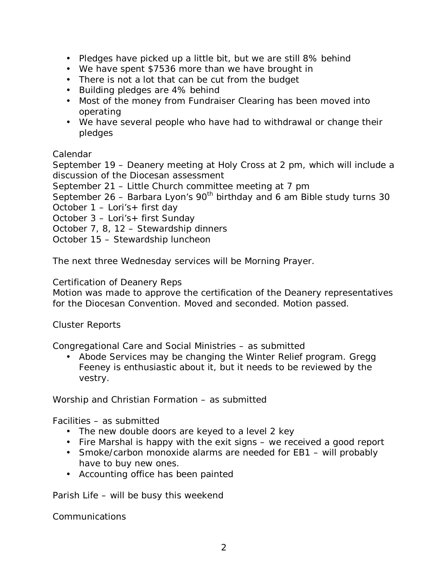- Pledges have picked up a little bit, but we are still 8% behind
- We have spent \$7536 more than we have brought in
- There is not a lot that can be cut from the budget
- Building pledges are 4% behind
- Most of the money from Fundraiser Clearing has been moved into operating
- We have several people who have had to withdrawal or change their pledges

## Calendar

September 19 – Deanery meeting at Holy Cross at 2 pm, which will include a discussion of the Diocesan assessment

September 21 – Little Church committee meeting at 7 pm

September 26 – Barbara Lyon's  $90<sup>th</sup>$  birthday and 6 am Bible study turns 30

October 1 – Lori's+ first day

October 3 – Lori's+ first Sunday

October 7, 8, 12 – Stewardship dinners

October 15 – Stewardship luncheon

The next three Wednesday services will be Morning Prayer.

Certification of Deanery Reps

Motion was made to approve the certification of the Deanery representatives for the Diocesan Convention. Moved and seconded. Motion passed.

## Cluster Reports

Congregational Care and Social Ministries – as submitted

• Abode Services may be changing the Winter Relief program. Gregg Feeney is enthusiastic about it, but it needs to be reviewed by the vestry.

Worship and Christian Formation – as submitted

Facilities – as submitted

- The new double doors are keyed to a level 2 key
- Fire Marshal is happy with the exit signs we received a good report
- Smoke/carbon monoxide alarms are needed for EB1 will probably have to buy new ones.
- Accounting office has been painted

Parish Life – will be busy this weekend

Communications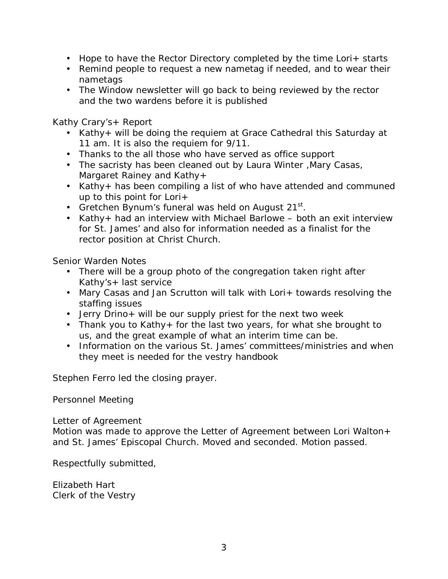- Hope to have the Rector Directory completed by the time Lori+ starts
- Remind people to request a new nametag if needed, and to wear their nametags
- The Window newsletter will go back to being reviewed by the rector and the two wardens before it is published

Kathy Crary's+ Report

- Kathy+ will be doing the requiem at Grace Cathedral this Saturday at 11 am. It is also the requiem for 9/11.
- Thanks to the all those who have served as office support
- The sacristy has been cleaned out by Laura Winter ,Mary Casas, Margaret Rainey and Kathy+
- Kathy+ has been compiling a list of who have attended and communed up to this point for Lori+
- Gretchen Bynum's funeral was held on August 21 $^{\rm st}$ .
- Kathy+ had an interview with Michael Barlowe both an exit interview for St. James' and also for information needed as a finalist for the rector position at Christ Church.

Senior Warden Notes

- There will be a group photo of the congregation taken right after Kathy's+ last service
- Mary Casas and Jan Scrutton will talk with Lori+ towards resolving the staffing issues
- Jerry Drino+ will be our supply priest for the next two week
- Thank you to Kathy+ for the last two years, for what she brought to us, and the great example of what an interim time can be.
- Information on the various St. James' committees/ministries and when they meet is needed for the vestry handbook

Stephen Ferro led the closing prayer.

Personnel Meeting

Letter of Agreement

Motion was made to approve the Letter of Agreement between Lori Walton+ and St. James' Episcopal Church. Moved and seconded. Motion passed.

Respectfully submitted,

Elizabeth Hart Clerk of the Vestry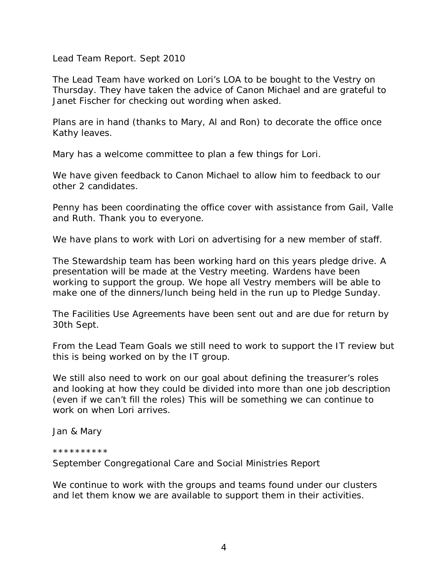Lead Team Report. Sept 2010

The Lead Team have worked on Lori's LOA to be bought to the Vestry on Thursday. They have taken the advice of Canon Michael and are grateful to Janet Fischer for checking out wording when asked.

Plans are in hand (thanks to Mary, Al and Ron) to decorate the office once Kathy leaves.

Mary has a welcome committee to plan a few things for Lori.

We have given feedback to Canon Michael to allow him to feedback to our other 2 candidates.

Penny has been coordinating the office cover with assistance from Gail, Valle and Ruth. Thank you to everyone.

We have plans to work with Lori on advertising for a new member of staff.

The Stewardship team has been working hard on this years pledge drive. A presentation will be made at the Vestry meeting. Wardens have been working to support the group. We hope all Vestry members will be able to make one of the dinners/lunch being held in the run up to Pledge Sunday.

The Facilities Use Agreements have been sent out and are due for return by 30th Sept.

From the Lead Team Goals we still need to work to support the IT review but this is being worked on by the IT group.

We still also need to work on our goal about defining the treasurer's roles and looking at how they could be divided into more than one job description (even if we can't fill the roles) This will be something we can continue to work on when Lori arrives.

Jan & Mary

## \*\*\*\*\*\*\*\*\*\*

September Congregational Care and Social Ministries Report

We continue to work with the groups and teams found under our clusters and let them know we are available to support them in their activities.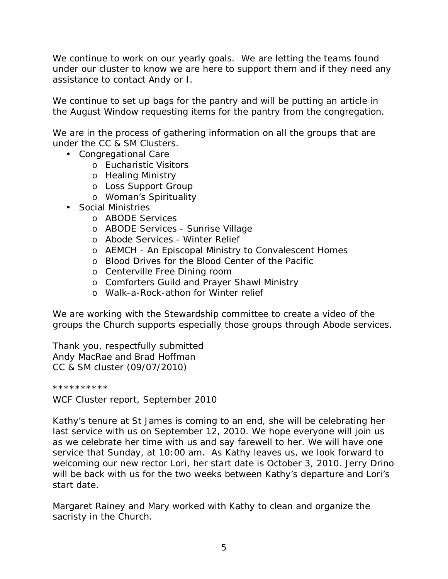We continue to work on our yearly goals. We are letting the teams found under our cluster to know we are here to support them and if they need any assistance to contact Andy or I.

We continue to set up bags for the pantry and will be putting an article in the August Window requesting items for the pantry from the congregation.

We are in the process of gathering information on all the groups that are under the CC & SM Clusters.

- Congregational Care
	- o Eucharistic Visitors
	- o Healing Ministry
	- o Loss Support Group
	- o Woman's Spirituality
- Social Ministries
	- o ABODE Services
	- o ABODE Services Sunrise Village
	- o Abode Services Winter Relief
	- o AEMCH An Episcopal Ministry to Convalescent Homes
	- o Blood Drives for the Blood Center of the Pacific
	- o Centerville Free Dining room
	- o Comforters Guild and Prayer Shawl Ministry
	- o Walk-a-Rock-athon for Winter relief

We are working with the Stewardship committee to create a video of the groups the Church supports especially those groups through Abode services.

Thank you, respectfully submitted Andy MacRae and Brad Hoffman CC & SM cluster (09/07/2010)

\*\*\*\*\*\*\*\*\*\*

WCF Cluster report, September 2010

Kathy's tenure at St James is coming to an end, she will be celebrating her last service with us on September 12, 2010. We hope everyone will join us as we celebrate her time with us and say farewell to her. We will have one service that Sunday, at 10:00 am. As Kathy leaves us, we look forward to welcoming our new rector Lori, her start date is October 3, 2010. Jerry Drino will be back with us for the two weeks between Kathy's departure and Lori's start date.

Margaret Rainey and Mary worked with Kathy to clean and organize the sacristy in the Church.